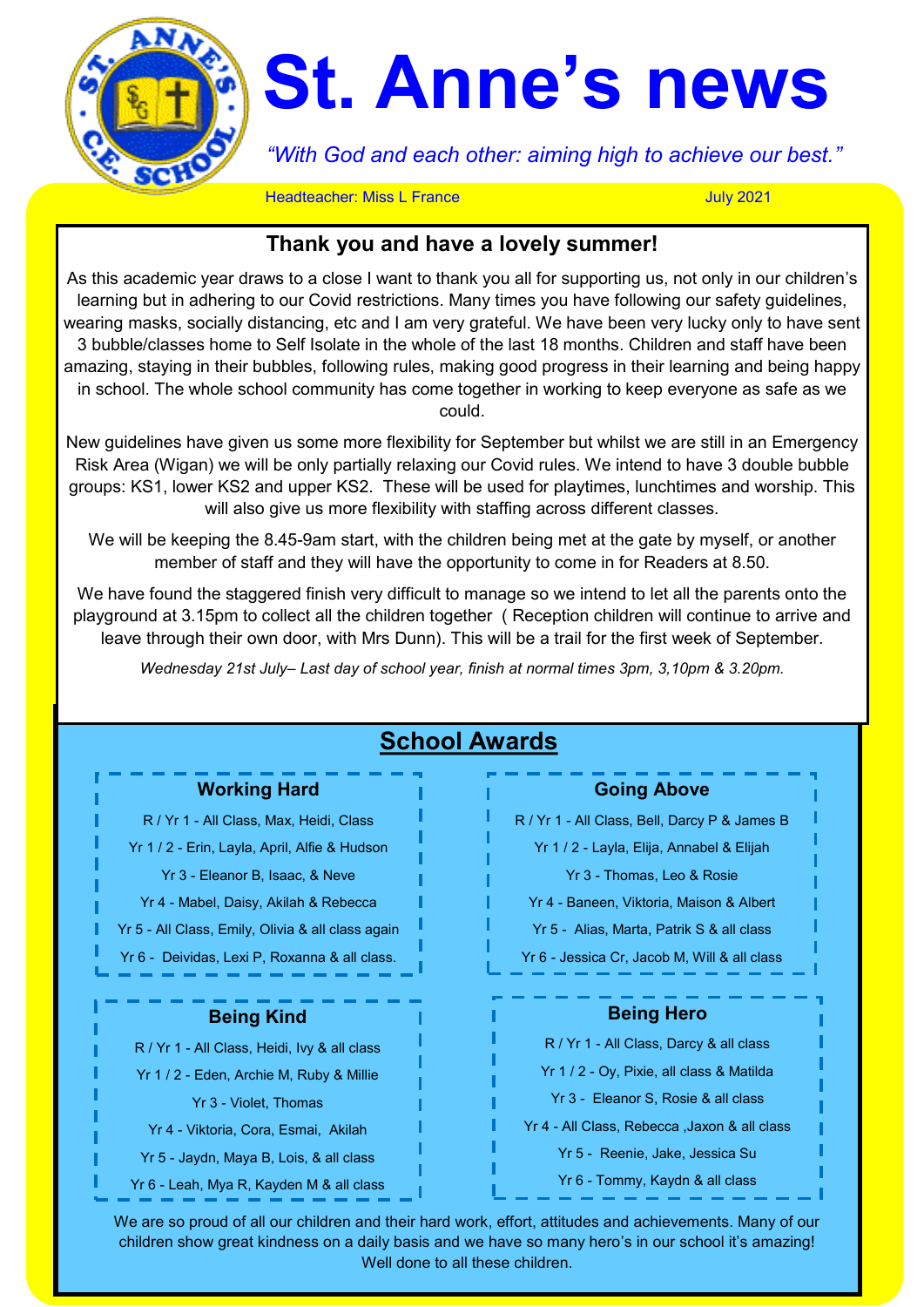

# **St. Anne's news**

*"With God and each other: aiming high to achieve our best."*

**Headteacher: Miss L France** July 2021

# **Thank you and have a lovely summer!**

As this academic year draws to a close I want to thank you all for supporting us, not only in our children's learning but in adhering to our Covid restrictions. Many times you have following our safety guidelines, wearing masks, socially distancing, etc and I am very grateful. We have been very lucky only to have sent 3 bubble/classes home to Self Isolate in the whole of the last 18 months. Children and staff have been amazing, staying in their bubbles, following rules, making good progress in their learning and being happy in school. The whole school community has come together in working to keep everyone as safe as we could.

New guidelines have given us some more flexibility for September but whilst we are still in an Emergency Risk Area (Wigan) we will be only partially relaxing our Covid rules. We intend to have 3 double bubble groups: KS1, lower KS2 and upper KS2. These will be used for playtimes, lunchtimes and worship. This will also give us more flexibility with staffing across different classes.

We will be keeping the 8.45-9am start, with the children being met at the gate by myself, or another member of staff and they will have the opportunity to come in for Readers at 8.50.

We have found the staggered finish very difficult to manage so we intend to let all the parents onto the playground at 3.15pm to collect all the children together ( Reception children will continue to arrive and leave through their own door, with Mrs Dunn). This will be a trail for the first week of September.

*Wednesday 21st July– Last day of school year, finish at normal times 3pm, 3,10pm & 3.20pm.* 

| <b>Working Hard</b>                               | <b>Going Above</b>                            |
|---------------------------------------------------|-----------------------------------------------|
| R / Yr 1 - All Class, Max, Heidi, Class           | R / Yr 1 - All Class, Bell, Darcy P & James B |
| Yr 1 / 2 - Erin, Layla, April, Alfie & Hudson     | Yr 1 / 2 - Layla, Elija, Annabel & Elijah     |
| Yr 3 - Eleanor B, Isaac, & Neve                   | Yr 3 - Thomas, Leo & Rosie                    |
| Yr 4 - Mabel, Daisy, Akilah & Rebecca             | Yr 4 - Baneen, Viktoria, Maison & Albert      |
| Yr 5 - All Class, Emily, Olivia & all class again | Yr 5 - Alias, Marta, Patrik S & all class     |
| Yr 6 - Deividas, Lexi P, Roxanna & all class.     | Yr 6 - Jessica Cr, Jacob M, Will & all class  |
| <b>Being Kind</b>                                 | <b>Being Hero</b>                             |
| R / Yr 1 - All Class, Heidi, Ivy & all class      | R / Yr 1 - All Class, Darcy & all class       |
| Yr 1 / 2 - Eden, Archie M, Ruby & Millie          | Yr 1 / 2 - Oy, Pixie, all class & Matilda     |
| Yr 3 - Violet, Thomas                             | Yr 3 - Eleanor S, Rosie & all class           |
| Yr 4 - Viktoria, Cora, Esmai, Akilah              | Yr 4 - All Class, Rebecca , Jaxon & all class |
|                                                   | Yr 5 - Reenie, Jake, Jessica Su               |
| Yr 5 - Jaydn, Maya B, Lois, & all class           |                                               |

We are so proud of all our children and their hard work, effort, attitudes and achievements. Many of our children show great kindness on a daily basis and we have so many hero's in our school it's amazing! Well done to all these children.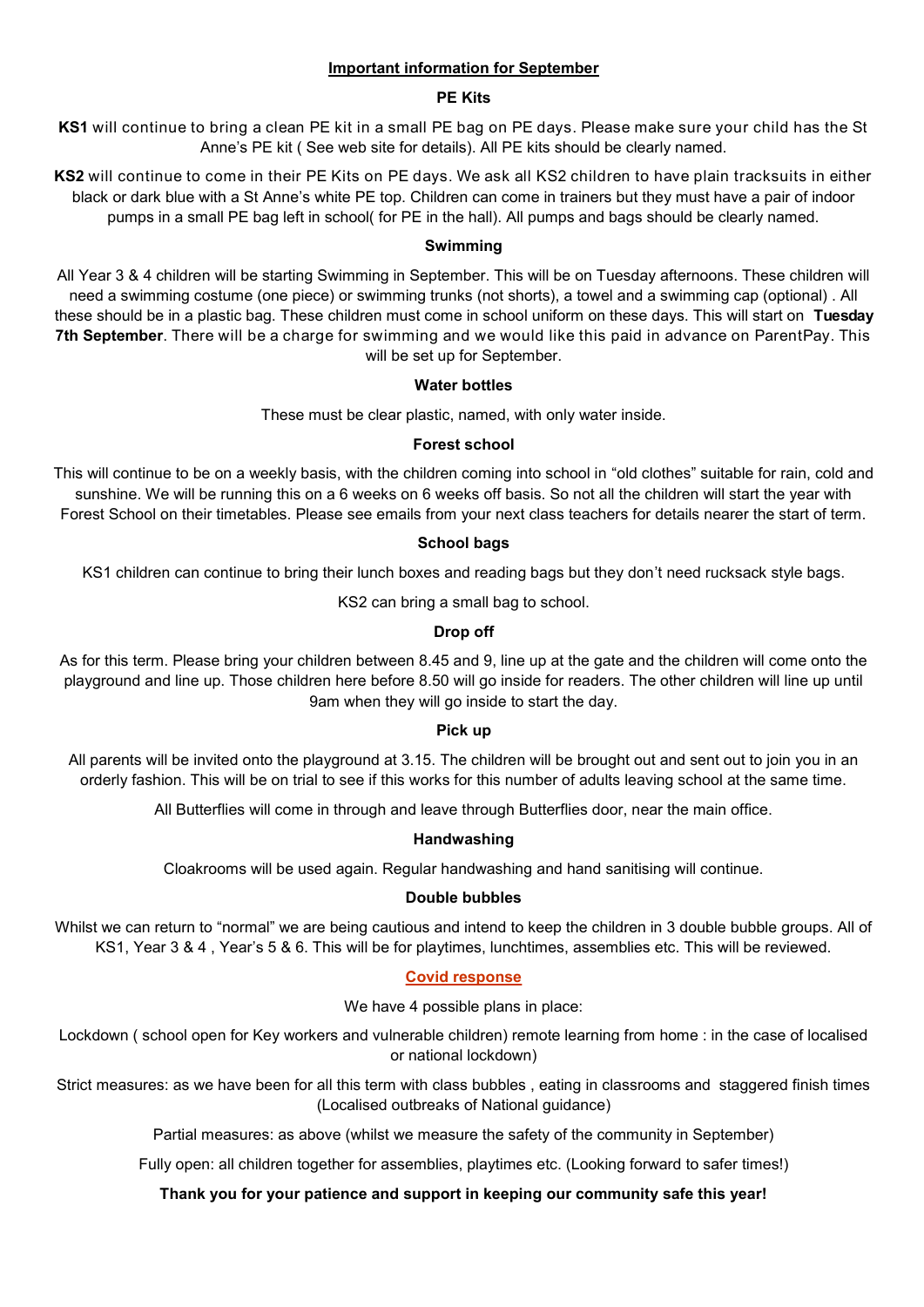# **Important information for September**

#### **PE Kits**

**KS1** will continue to bring a clean PE kit in a small PE bag on PE days. Please make sure your child has the St Anne's PE kit ( See web site for details). All PE kits should be clearly named.

**KS2** will continue to come in their PE Kits on PE days. We ask all KS2 children to have plain tracksuits in either black or dark blue with a St Anne's white PE top. Children can come in trainers but they must have a pair of indoor pumps in a small PE bag left in school( for PE in the hall). All pumps and bags should be clearly named.

#### **Swimming**

All Year 3 & 4 children will be starting Swimming in September. This will be on Tuesday afternoons. These children will need a swimming costume (one piece) or swimming trunks (not shorts), a towel and a swimming cap (optional) . All these should be in a plastic bag. These children must come in school uniform on these days. This will start on **Tuesday 7th September**. There will be a charge for swimming and we would like this paid in advance on ParentPay. This will be set up for September.

#### **Water bottles**

These must be clear plastic, named, with only water inside.

# **Forest school**

This will continue to be on a weekly basis, with the children coming into school in "old clothes" suitable for rain, cold and sunshine. We will be running this on a 6 weeks on 6 weeks off basis. So not all the children will start the year with Forest School on their timetables. Please see emails from your next class teachers for details nearer the start of term.

#### **School bags**

KS1 children can continue to bring their lunch boxes and reading bags but they don't need rucksack style bags.

KS2 can bring a small bag to school.

# **Drop off**

As for this term. Please bring your children between 8.45 and 9, line up at the gate and the children will come onto the playground and line up. Those children here before 8.50 will go inside for readers. The other children will line up until 9am when they will go inside to start the day.

# **Pick up**

All parents will be invited onto the playground at 3.15. The children will be brought out and sent out to join you in an orderly fashion. This will be on trial to see if this works for this number of adults leaving school at the same time.

All Butterflies will come in through and leave through Butterflies door, near the main office.

# **Handwashing**

Cloakrooms will be used again. Regular handwashing and hand sanitising will continue.

#### **Double bubbles**

Whilst we can return to "normal" we are being cautious and intend to keep the children in 3 double bubble groups. All of KS1, Year 3 & 4 , Year's 5 & 6. This will be for playtimes, lunchtimes, assemblies etc. This will be reviewed.

# **Covid response**

We have 4 possible plans in place:

Lockdown ( school open for Key workers and vulnerable children) remote learning from home : in the case of localised or national lockdown)

Strict measures: as we have been for all this term with class bubbles , eating in classrooms and staggered finish times (Localised outbreaks of National guidance)

Partial measures: as above (whilst we measure the safety of the community in September)

Fully open: all children together for assemblies, playtimes etc. (Looking forward to safer times!)

# **Thank you for your patience and support in keeping our community safe this year!**